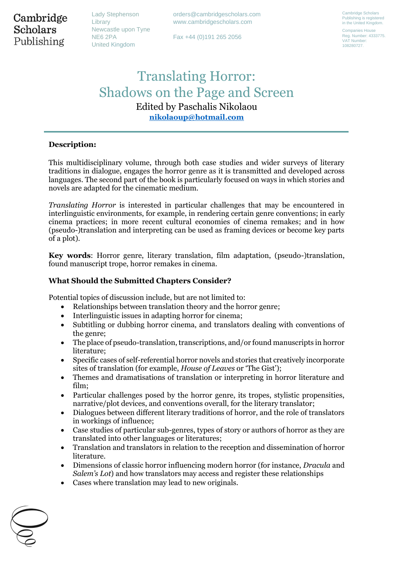Cambridge **Scholars** Publishing

Lady Stephenson Library Newcastle upon Tyne NE6 2PA United Kingdom

orders@cambridgescholars.com www.cambridgescholars.com

Fax +44 (0)191 265 2056

Cambridge Scholars Publishing is registered in the United Kingdom.

Companies House Reg. Number: 4333775. VAT Number: 108280727.

# Translating Horror: Shadows on the Page and Screen Edited by Paschalis Nikolaou **[nikolaoup@hotmail.com](mailto:nikolaoup@hotmail.com)**

## **Description:**

This multidisciplinary volume, through both case studies and wider surveys of literary traditions in dialogue, engages the horror genre as it is transmitted and developed across languages. The second part of the book is particularly focused on ways in which stories and novels are adapted for the cinematic medium.

*Translating Horror* is interested in particular challenges that may be encountered in interlinguistic environments, for example, in rendering certain genre conventions; in early cinema practices; in more recent cultural economies of cinema remakes; and in how (pseudo-)translation and interpreting can be used as framing devices or become key parts of a plot).

**Key words**: Horror genre, literary translation, film adaptation, (pseudo-)translation, found manuscript trope, horror remakes in cinema.

#### **What Should the Submitted Chapters Consider?**

Potential topics of discussion include, but are not limited to:

- Relationships between translation theory and the horror genre;
- Interlinguistic issues in adapting horror for cinema;
- Subtitling or dubbing horror cinema, and translators dealing with conventions of the genre;
- The place of pseudo-translation, transcriptions, and/or found manuscripts in horror literature;
- Specific cases of self-referential horror novels and stories that creatively incorporate sites of translation (for example, *House of Leaves* or 'The Gist');
- Themes and dramatisations of translation or interpreting in horror literature and film;
- Particular challenges posed by the horror genre, its tropes, stylistic propensities, narrative/plot devices, and conventions overall, for the literary translator;
- Dialogues between different literary traditions of horror, and the role of translators in workings of influence;
- Case studies of particular sub-genres, types of story or authors of horror as they are translated into other languages or literatures;
- Translation and translators in relation to the reception and dissemination of horror literature.
- Dimensions of classic horror influencing modern horror (for instance, *Dracula* and *Salem's Lot*) and how translators may access and register these relationships
- Cases where translation may lead to new originals.

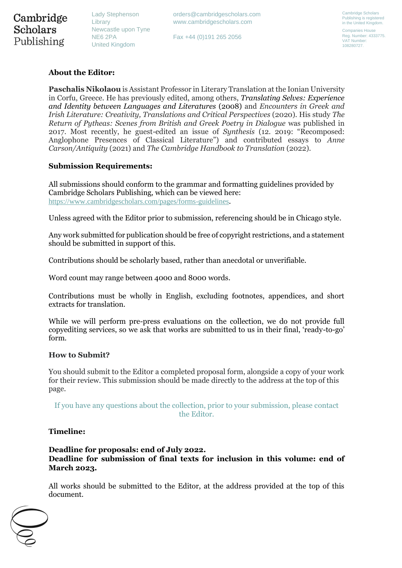Lady Stephenson Library Newcastle upon Tyne NE6 2PA United Kingdom

Fax +44 (0)191 265 2056

Companies House Reg. Number: 4333775. VAT Number: 108280727.

# **About the Editor:**

**Paschalis Nikolaou** is Assistant Professor in Literary Translation at the Ionian University in Corfu, Greece. He has previously edited, among others, *Translating Selves: Experience and Identity between Languages and Literatures* (2008) and *Encounters in Greek and Irish Literature: Creativity, Translations and Critical Perspectives* (2020). His study *The Return of Pytheas: Scenes from British and Greek Poetry in Dialogue* was published in 2017. Most recently, he guest-edited an issue of *Synthesis* (12. 2019: "Recomposed: Anglophone Presences of Classical Literature") and contributed essays to *Anne Carson/Antiquity* (2021) and *The Cambridge Handbook to Translation* (2022).

# **Submission Requirements:**

All submissions should conform to the grammar and formatting guidelines provided by Cambridge Scholars Publishing, which can be viewed here: <https://www.cambridgescholars.com/pages/forms-guidelines>.

Unless agreed with the Editor prior to submission, referencing should be in Chicago style.

Any work submitted for publication should be free of copyright restrictions, and a statement should be submitted in support of this.

Contributions should be scholarly based, rather than anecdotal or unverifiable.

Word count may range between 4000 and 8000 words.

Contributions must be wholly in English, excluding footnotes, appendices, and short extracts for translation.

While we will perform pre-press evaluations on the collection, we do not provide full copyediting services, so we ask that works are submitted to us in their final, 'ready-to-go' form.

### **How to Submit?**

You should submit to the Editor a completed proposal form, alongside a copy of your work for their review. This submission should be made directly to the address at the top of this page.

If you have any questions about the collection, prior to your submission, please contact the Editor.

### **Timeline:**

# **Deadline for proposals: end of July 2022. Deadline for submission of final texts for inclusion in this volume: end of March 2023.**

All works should be submitted to the Editor, at the address provided at the top of this document.